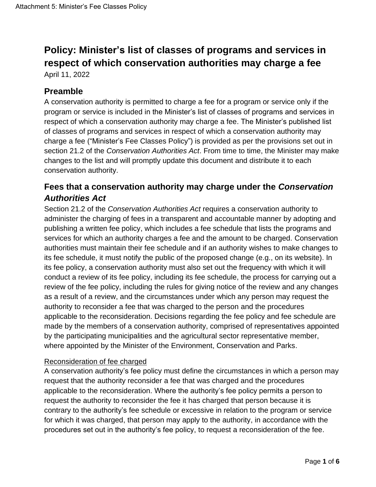# **Policy: Minister's list of classes of programs and services in respect of which conservation authorities may charge a fee**

April 11, 2022

#### **Preamble**

A conservation authority is permitted to charge a fee for a program or service only if the program or service is included in the Minister's list of classes of programs and services in respect of which a conservation authority may charge a fee. The Minister's published list of classes of programs and services in respect of which a conservation authority may charge a fee ("Minister's Fee Classes Policy") is provided as per the provisions set out in section 21.2 of the *Conservation Authorities Act*. From time to time, the Minister may make changes to the list and will promptly update this document and distribute it to each conservation authority.

# **Fees that a conservation authority may charge under the** *Conservation Authorities Act*

Section 21.2 of the *Conservation Authorities Act* requires a conservation authority to administer the charging of fees in a transparent and accountable manner by adopting and publishing a written fee policy, which includes a fee schedule that lists the programs and services for which an authority charges a fee and the amount to be charged. Conservation authorities must maintain their fee schedule and if an authority wishes to make changes to its fee schedule, it must notify the public of the proposed change (e.g., on its website). In its fee policy, a conservation authority must also set out the frequency with which it will conduct a review of its fee policy, including its fee schedule, the process for carrying out a review of the fee policy, including the rules for giving notice of the review and any changes as a result of a review, and the circumstances under which any person may request the authority to reconsider a fee that was charged to the person and the procedures applicable to the reconsideration. Decisions regarding the fee policy and fee schedule are made by the members of a conservation authority, comprised of representatives appointed by the participating municipalities and the agricultural sector representative member, where appointed by the Minister of the Environment, Conservation and Parks.

#### Reconsideration of fee charged

A conservation authority's fee policy must define the circumstances in which a person may request that the authority reconsider a fee that was charged and the procedures applicable to the reconsideration. Where the authority's fee policy permits a person to request the authority to reconsider the fee it has charged that person because it is contrary to the authority's fee schedule or excessive in relation to the program or service for which it was charged, that person may apply to the authority, in accordance with the procedures set out in the authority's fee policy, to request a reconsideration of the fee.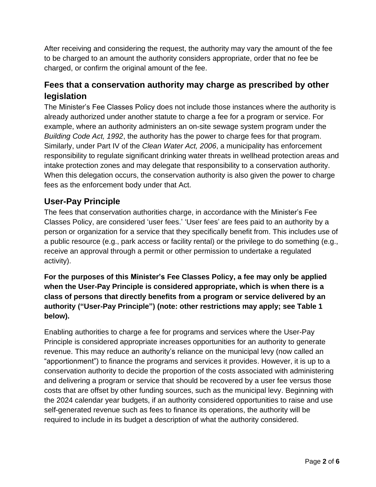After receiving and considering the request, the authority may vary the amount of the fee to be charged to an amount the authority considers appropriate, order that no fee be charged, or confirm the original amount of the fee.

# **Fees that a conservation authority may charge as prescribed by other legislation**

The Minister's Fee Classes Policy does not include those instances where the authority is already authorized under another statute to charge a fee for a program or service. For example, where an authority administers an on-site sewage system program under the *Building Code Act, 1992*, the authority has the power to charge fees for that program. Similarly, under Part IV of the *Clean Water Act, 2006*, a municipality has enforcement responsibility to regulate significant drinking water threats in wellhead protection areas and intake protection zones and may delegate that responsibility to a conservation authority. When this delegation occurs, the conservation authority is also given the power to charge fees as the enforcement body under that Act.

### **User-Pay Principle**

The fees that conservation authorities charge, in accordance with the Minister's Fee Classes Policy, are considered 'user fees.' 'User fees' are fees paid to an authority by a person or organization for a service that they specifically benefit from. This includes use of a public resource (e.g., park access or facility rental) or the privilege to do something (e.g., receive an approval through a permit or other permission to undertake a regulated activity).

#### **For the purposes of this Minister's Fee Classes Policy, a fee may only be applied when the User-Pay Principle is considered appropriate, which is when there is a class of persons that directly benefits from a program or service delivered by an authority ("User-Pay Principle") (note: other restrictions may apply; see Table 1 below).**

Enabling authorities to charge a fee for programs and services where the User-Pay Principle is considered appropriate increases opportunities for an authority to generate revenue. This may reduce an authority's reliance on the municipal levy (now called an "apportionment") to finance the programs and services it provides. However, it is up to a conservation authority to decide the proportion of the costs associated with administering and delivering a program or service that should be recovered by a user fee versus those costs that are offset by other funding sources, such as the municipal levy. Beginning with the 2024 calendar year budgets, if an authority considered opportunities to raise and use self-generated revenue such as fees to finance its operations, the authority will be required to include in its budget a description of what the authority considered.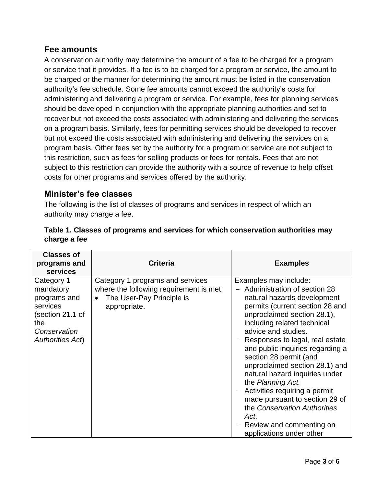#### **Fee amounts**

A conservation authority may determine the amount of a fee to be charged for a program or service that it provides. If a fee is to be charged for a program or service, the amount to be charged or the manner for determining the amount must be listed in the conservation authority's fee schedule. Some fee amounts cannot exceed the authority's costs for administering and delivering a program or service. For example, fees for planning services should be developed in conjunction with the appropriate planning authorities and set to recover but not exceed the costs associated with administering and delivering the services on a program basis. Similarly, fees for permitting services should be developed to recover but not exceed the costs associated with administering and delivering the services on a program basis. Other fees set by the authority for a program or service are not subject to this restriction, such as fees for selling products or fees for rentals. Fees that are not subject to this restriction can provide the authority with a source of revenue to help offset costs for other programs and services offered by the authority.

#### **Minister's fee classes**

The following is the list of classes of programs and services in respect of which an authority may charge a fee.

| <b>Classes of</b><br>programs and<br><b>services</b>                                                                      | <b>Criteria</b>                                                                                                          | <b>Examples</b>                                                                                                                                                                                                                                                                                                                                                                                                                                                                                                                                                             |
|---------------------------------------------------------------------------------------------------------------------------|--------------------------------------------------------------------------------------------------------------------------|-----------------------------------------------------------------------------------------------------------------------------------------------------------------------------------------------------------------------------------------------------------------------------------------------------------------------------------------------------------------------------------------------------------------------------------------------------------------------------------------------------------------------------------------------------------------------------|
| Category 1<br>mandatory<br>programs and<br>services<br>(section 21.1 of<br>the<br>Conservation<br><b>Authorities Act)</b> | Category 1 programs and services<br>where the following requirement is met:<br>The User-Pay Principle is<br>appropriate. | Examples may include:<br>Administration of section 28<br>natural hazards development<br>permits (current section 28 and<br>unproclaimed section 28.1),<br>including related technical<br>advice and studies.<br>Responses to legal, real estate<br>and public inquiries regarding a<br>section 28 permit (and<br>unproclaimed section 28.1) and<br>natural hazard inquiries under<br>the Planning Act.<br>- Activities requiring a permit<br>made pursuant to section 29 of<br>the Conservation Authorities<br>Act.<br>Review and commenting on<br>applications under other |

| Table 1. Classes of programs and services for which conservation authorities may |  |
|----------------------------------------------------------------------------------|--|
| charge a fee                                                                     |  |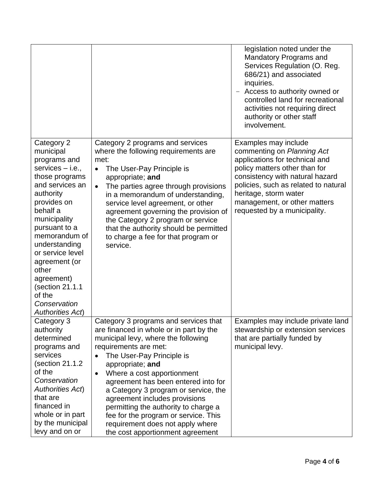|                                                                                                                                                                                                                                                                                                                                                   |                                                                                                                                                                                                                                                                                                                                                                                                                                            | legislation noted under the<br><b>Mandatory Programs and</b><br>Services Regulation (O. Reg.<br>686/21) and associated<br>inquiries.<br>- Access to authority owned or<br>controlled land for recreational<br>activities not requiring direct<br>authority or other staff<br>involvement. |
|---------------------------------------------------------------------------------------------------------------------------------------------------------------------------------------------------------------------------------------------------------------------------------------------------------------------------------------------------|--------------------------------------------------------------------------------------------------------------------------------------------------------------------------------------------------------------------------------------------------------------------------------------------------------------------------------------------------------------------------------------------------------------------------------------------|-------------------------------------------------------------------------------------------------------------------------------------------------------------------------------------------------------------------------------------------------------------------------------------------|
| Category 2<br>municipal<br>programs and<br>services $-$ i.e.,<br>those programs<br>and services an<br>authority<br>provides on<br>behalf a<br>municipality<br>pursuant to a<br>memorandum of<br>understanding<br>or service level<br>agreement (or<br>other<br>agreement)<br>(section 21.1.1<br>of the<br>Conservation<br><b>Authorities Act)</b> | Category 2 programs and services<br>where the following requirements are<br>met:<br>The User-Pay Principle is<br>appropriate; and<br>The parties agree through provisions<br>$\bullet$<br>in a memorandum of understanding,<br>service level agreement, or other<br>agreement governing the provision of<br>the Category 2 program or service<br>that the authority should be permitted<br>to charge a fee for that program or<br>service. | Examples may include<br>commenting on Planning Act<br>applications for technical and<br>policy matters other than for<br>consistency with natural hazard<br>policies, such as related to natural<br>heritage, storm water<br>management, or other matters<br>requested by a municipality. |
| Category 3<br>authority<br>determined                                                                                                                                                                                                                                                                                                             | Category 3 programs and services that<br>are financed in whole or in part by the<br>municipal levy, where the following                                                                                                                                                                                                                                                                                                                    | Examples may include private land<br>stewardship or extension services<br>that are partially funded by                                                                                                                                                                                    |
| programs and                                                                                                                                                                                                                                                                                                                                      | requirements are met:                                                                                                                                                                                                                                                                                                                                                                                                                      | municipal levy.                                                                                                                                                                                                                                                                           |
| services                                                                                                                                                                                                                                                                                                                                          | The User-Pay Principle is                                                                                                                                                                                                                                                                                                                                                                                                                  |                                                                                                                                                                                                                                                                                           |
| (section 21.1.2)                                                                                                                                                                                                                                                                                                                                  | appropriate; and                                                                                                                                                                                                                                                                                                                                                                                                                           |                                                                                                                                                                                                                                                                                           |
| of the<br>Conservation                                                                                                                                                                                                                                                                                                                            | Where a cost apportionment<br>$\bullet$                                                                                                                                                                                                                                                                                                                                                                                                    |                                                                                                                                                                                                                                                                                           |
| <b>Authorities Act)</b>                                                                                                                                                                                                                                                                                                                           | agreement has been entered into for                                                                                                                                                                                                                                                                                                                                                                                                        |                                                                                                                                                                                                                                                                                           |
| that are                                                                                                                                                                                                                                                                                                                                          | a Category 3 program or service, the<br>agreement includes provisions                                                                                                                                                                                                                                                                                                                                                                      |                                                                                                                                                                                                                                                                                           |
| financed in                                                                                                                                                                                                                                                                                                                                       | permitting the authority to charge a                                                                                                                                                                                                                                                                                                                                                                                                       |                                                                                                                                                                                                                                                                                           |
| whole or in part                                                                                                                                                                                                                                                                                                                                  | fee for the program or service. This                                                                                                                                                                                                                                                                                                                                                                                                       |                                                                                                                                                                                                                                                                                           |
| by the municipal                                                                                                                                                                                                                                                                                                                                  | requirement does not apply where                                                                                                                                                                                                                                                                                                                                                                                                           |                                                                                                                                                                                                                                                                                           |
| levy and on or                                                                                                                                                                                                                                                                                                                                    | the cost apportionment agreement                                                                                                                                                                                                                                                                                                                                                                                                           |                                                                                                                                                                                                                                                                                           |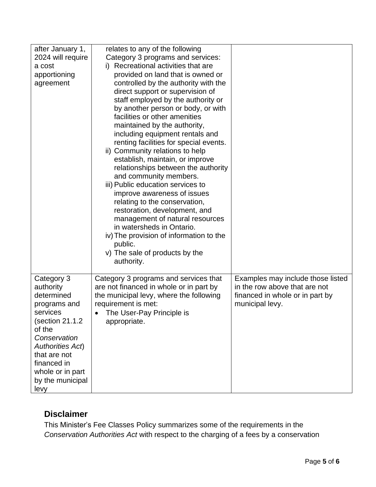| after January 1,            | relates to any of the following                                          |                                   |
|-----------------------------|--------------------------------------------------------------------------|-----------------------------------|
|                             |                                                                          |                                   |
| 2024 will require<br>a cost | Category 3 programs and services:<br>i) Recreational activities that are |                                   |
|                             |                                                                          |                                   |
| apportioning                | provided on land that is owned or                                        |                                   |
| agreement                   | controlled by the authority with the                                     |                                   |
|                             | direct support or supervision of                                         |                                   |
|                             | staff employed by the authority or                                       |                                   |
|                             | by another person or body, or with                                       |                                   |
|                             | facilities or other amenities                                            |                                   |
|                             | maintained by the authority,                                             |                                   |
|                             | including equipment rentals and                                          |                                   |
|                             | renting facilities for special events.                                   |                                   |
|                             | ii) Community relations to help                                          |                                   |
|                             | establish, maintain, or improve                                          |                                   |
|                             | relationships between the authority                                      |                                   |
|                             | and community members.                                                   |                                   |
|                             | iii) Public education services to                                        |                                   |
|                             | improve awareness of issues                                              |                                   |
|                             | relating to the conservation,                                            |                                   |
|                             | restoration, development, and                                            |                                   |
|                             | management of natural resources                                          |                                   |
|                             | in watersheds in Ontario.                                                |                                   |
|                             | iv) The provision of information to the                                  |                                   |
|                             | public.                                                                  |                                   |
|                             | v) The sale of products by the                                           |                                   |
|                             | authority.                                                               |                                   |
|                             |                                                                          |                                   |
| Category 3                  | Category 3 programs and services that                                    | Examples may include those listed |
| authority                   | are not financed in whole or in part by                                  | in the row above that are not     |
| determined                  | the municipal levy, where the following                                  | financed in whole or in part by   |
| programs and                | requirement is met:                                                      | municipal levy.                   |
| services                    | The User-Pay Principle is<br>$\bullet$                                   |                                   |
| section 21.1.2              | appropriate.                                                             |                                   |
| of the                      |                                                                          |                                   |
| Conservation                |                                                                          |                                   |
| <b>Authorities Act)</b>     |                                                                          |                                   |
| that are not                |                                                                          |                                   |
|                             |                                                                          |                                   |
| financed in                 |                                                                          |                                   |
| whole or in part            |                                                                          |                                   |
| by the municipal            |                                                                          |                                   |
| levy                        |                                                                          |                                   |

# **Disclaimer**

This Minister's Fee Classes Policy summarizes some of the requirements in the *Conservation Authorities Act* with respect to the charging of a fees by a conservation